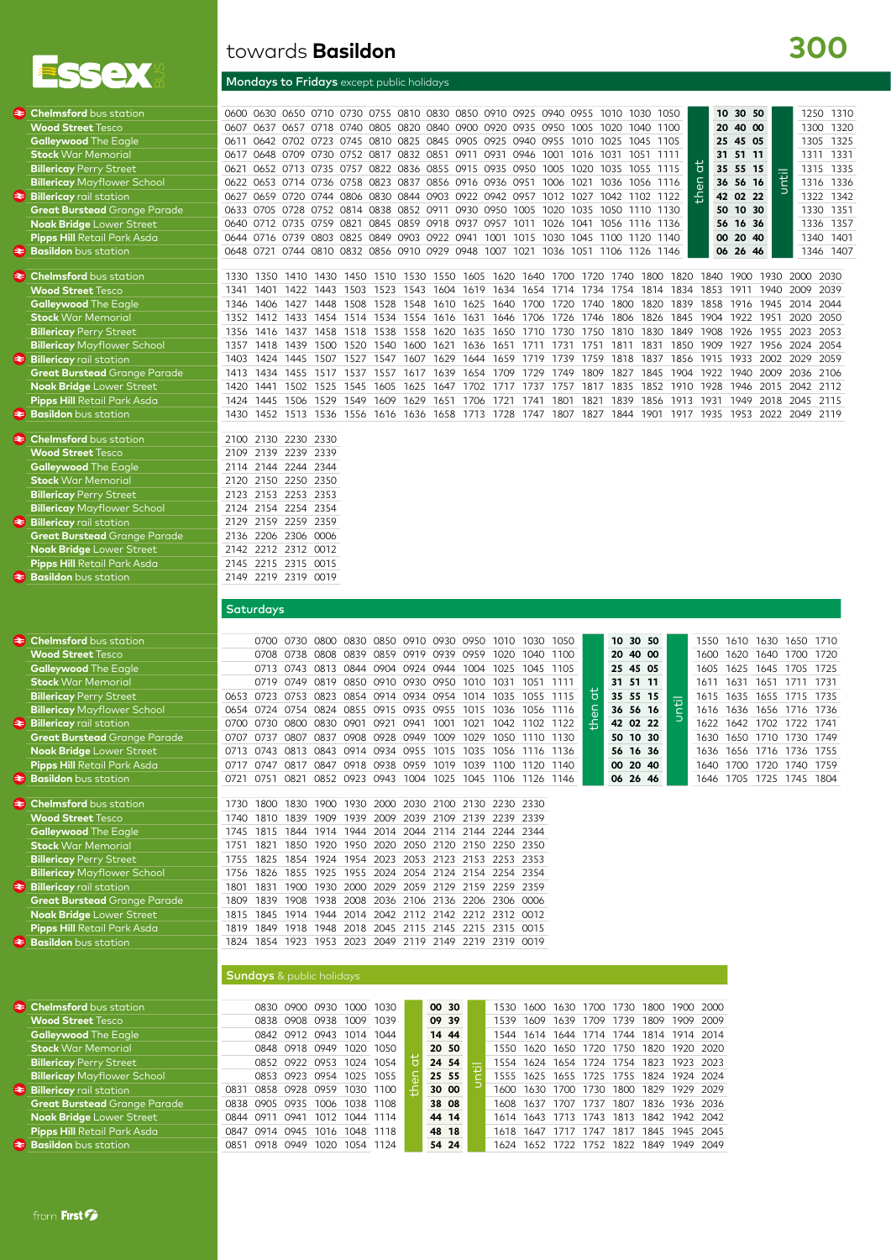

#### Mondays to Fridays except public holidays

# **300**

| $\triangleleft$ Chelmsford bus station<br><b>Wood Street</b> Tesco<br><b>Galleywood</b> The Eagle<br><b>Stock</b> War Memorial<br><b>Billericay Perry Street</b><br><b>Billericay</b> Mayflower School<br>$\triangleleft$ Billericay rail station<br><b>Great Burstead</b> Grange Parade<br><b>Noak Bridge Lower Street</b><br><b>Pipps Hill</b> Retail Park Asda<br><b>≥ Basildon</b> bus station<br><b>E</b> Chelmsford bus station<br><b>Wood Street Tesco</b> | 0611<br>0617<br>0621<br>0622<br>0659 0720<br>0627<br>0633<br>0640<br>0712 0735<br>1350 1410<br>1330<br>1401 1422<br>1341                                                                              | 1430                                                                                                                                                                                                                                                                                                                                         | 0607 0637 0657 0718 0740 0805 0820 0840 0900 0920 0935 0950 1005<br>0744 0806 0830 0844 0903 0922 0942 0957 1012 1027<br>0705 0728 0752 0814 0838 0852 0911 0930 0950 1005 1020 1035<br>0759 0821 0845 0859 0918 0937 0957 1011<br>1450 1510 1530 1550 1605                                                                                                                                                                                                                                                                                                                                                                                                                                 | 0600 0630 0650 0710 0730 0755 0810 0830 0850 0910 0925 0940 0955 1010 1030 1050<br>1020<br>1040 1100<br>0642 0702 0723 0745 0810 0825 0845 0905 0925 0940 0955 1010 1025 1045 1105<br>0648 0709 0730 0752 0817 0832 0851 0911 0931 0946 1001 1016 1031 1051 1111<br>0652 0713 0735 0757 0822 0836 0855 0915 0935 0950 1005 1020 1035 1055 1115<br>0653 0714 0736 0758 0823 0837 0856 0916 0936 0951 1006 1021 1036 1056 1116<br>1042 1102 1122<br>1050 1110 1130<br>1026<br>1041<br>1056 1116 1136<br>0644 0716 0739 0803 0825 0849 0903 0922 0941 1001 1015 1030 1045 1100 1120 1140<br>0648 0721 0744 0810 0832 0856 0910 0929 0948 1007 1021 1036 1051 1106 1126 1146<br>1800<br>1820<br>1620 1640 1700<br>1720<br>1740<br>1443 1503 1523 1543 1604 1619 1634 1654 1714 1734 1754 1814 1834 | 10 30 50<br>1250 1310<br>40 00<br>20<br>1300 1320<br>25 45 05<br>1305<br>1325<br>31 51 11<br>1311 1331<br>$\overline{a}$<br>35 55 15<br>1315<br>1335<br>Until<br>then<br>1316 1336<br>36 56 16<br>42 02 22<br>1322<br>1342<br>50 10 30<br>1330 1351<br>56 16 36<br>1357<br>1336<br>20 40<br>00 <sup>°</sup><br>1340<br>1401<br>06<br>26 46<br>1346<br>1407<br>1840<br>1900 1930 2000 2030<br>1853 1911 1940<br>2009 2039 |
|-------------------------------------------------------------------------------------------------------------------------------------------------------------------------------------------------------------------------------------------------------------------------------------------------------------------------------------------------------------------------------------------------------------------------------------------------------------------|-------------------------------------------------------------------------------------------------------------------------------------------------------------------------------------------------------|----------------------------------------------------------------------------------------------------------------------------------------------------------------------------------------------------------------------------------------------------------------------------------------------------------------------------------------------|---------------------------------------------------------------------------------------------------------------------------------------------------------------------------------------------------------------------------------------------------------------------------------------------------------------------------------------------------------------------------------------------------------------------------------------------------------------------------------------------------------------------------------------------------------------------------------------------------------------------------------------------------------------------------------------------|------------------------------------------------------------------------------------------------------------------------------------------------------------------------------------------------------------------------------------------------------------------------------------------------------------------------------------------------------------------------------------------------------------------------------------------------------------------------------------------------------------------------------------------------------------------------------------------------------------------------------------------------------------------------------------------------------------------------------------------------------------------------------------------------|--------------------------------------------------------------------------------------------------------------------------------------------------------------------------------------------------------------------------------------------------------------------------------------------------------------------------------------------------------------------------------------------------------------------------|
| <b>Galleywood</b> The Eagle<br><b>Stock</b> War Memorial<br><b>Billericay Perry Street</b><br><b>Billericay</b> Mayflower School<br>Billericay rail station<br><b>Great Burstead</b> Grange Parade<br><b>Noak Bridge Lower Street</b><br><b>Pipps Hill</b> Retail Park Asda<br><b>≥ Basildon</b> bus station                                                                                                                                                      | 1406<br>1346<br>1352<br>1412 1433<br>1356<br>1416<br>1357 1418 1439<br>1424 1445<br>1403<br>1413<br>1420<br>1445 1506<br>1424<br>1430                                                                 | 1508<br>1427<br>1448<br>1518<br>1538<br>1437<br>1458<br>1507 1527<br>1434 1455 1517 1537 1557 1617 1639<br>1441 1502 1525<br>1545<br>1529<br>1549<br>1609                                                                                                                                                                                    | 1528 1548<br>1610 1625<br>1454 1514 1534 1554 1616 1631 1646 1706<br>1558<br>1635<br>1620<br>1500 1520 1540 1600 1621 1636<br>1547 1607<br>1629<br>1644<br>1605 1625 1647<br>1629<br>1706<br>1651<br>1721                                                                                                                                                                                                                                                                                                                                                                                                                                                                                   | 1640 1700<br>1820 1839<br>1720<br>1740<br>1800<br>1826 1845<br>1726 1746<br>1806<br>1650 1710<br>1730 1750<br>1810<br>1830 1849<br>1651 1711 1731 1751 1811 1831 1850 1909 1927 1956 2024 2054<br>1659 1719<br>1739<br>1759<br>1818 1837 1856<br>1654 1709 1729 1749 1809<br>1702 1717 1737 1757 1817 1835 1852 1910 1928 1946 2015 2042 2112<br>1741 1801<br>1821<br>1839<br>1856<br>1452 1513 1536 1556 1616 1636 1658 1713 1728 1747 1807 1827 1844 1901 1917 1935 1953 2022 2049 2119                                                                                                                                                                                                                                                                                                      | 1858<br>1916 1945<br>2014<br>2044<br>1904 1922 1951<br>2020<br>2050<br>1908<br>1926<br>1955<br>2023<br>2053<br>1915 1933 2002 2029 2059<br>1827 1845 1904 1922 1940 2009 2036 2106<br>1913 1931<br>1949 2018 2045<br>2115                                                                                                                                                                                                |
| <b>≥ Chelmsford</b> bus station<br><b>Wood Street</b> Tesco<br><b>Galleywood</b> The Eagle<br><b>Stock</b> War Memorial<br><b>Billericay Perry Street</b><br><b>Billericay Mayflower School</b><br>Billericay rail station<br><b>Great Burstead</b> Grange Parade<br><b>Noak Bridge Lower Street</b><br>Pipps Hill Retail Park Asda<br><b>₹ Basildon</b> bus station                                                                                              | 2130 2230<br>2100<br>2109 2139 2239 2339<br>2114 2144 2244<br>2120 2150 2250 2350<br>2123 2153 2253 2353<br>2124 2154 2254 2354<br>2129<br>2136<br>2142 2212 2312 0012<br>2145<br>2149 2219 2319 0019 | 2330<br>2344<br>2159 2259 2359<br>2206 2306 0006<br>2215 2315 0015                                                                                                                                                                                                                                                                           |                                                                                                                                                                                                                                                                                                                                                                                                                                                                                                                                                                                                                                                                                             |                                                                                                                                                                                                                                                                                                                                                                                                                                                                                                                                                                                                                                                                                                                                                                                                |                                                                                                                                                                                                                                                                                                                                                                                                                          |
| <b>Chelmsford</b> bus station<br>€<br><b>Wood Street</b> Tesco<br><b>Galleywood</b> The Eagle<br><b>Stock War Memorial</b><br><b>Billericay Perry Street</b><br><b>Billericay Mayflower School</b><br>Billericay rail station<br><b>Great Burstead</b> Grange Parade<br><b>Noak Bridge Lower Street</b>                                                                                                                                                           | Saturdays<br>0700 0730<br>0708 0738<br>0719 0749<br>0700<br>0707<br>0737<br>0713                                                                                                                      | 0800 0830<br>0808 0839<br>0819 0850 0910 0930 0950<br>0654 0724 0754 0824 0855 0915 0935 0955<br>0730 0800 0830 0901 0921 0941 1001 1021<br>0807<br>0908 0928 0949<br>0837<br>0743 0813 0843                                                                                                                                                 | 0950<br>0850 0910 0930<br>1010<br>0859 0919 0939<br>0959<br>1020<br>0713 0743 0813 0844 0904 0924 0944 1004 1025 1045 1105<br>1010<br>1031<br>0653 0723 0753 0823 0854 0914 0934 0954 1014 1035 1055 1115<br>1015<br>1009<br>1029<br>0914 0934 0955 1015<br>1035                                                                                                                                                                                                                                                                                                                                                                                                                            | 30 50<br>10<br>1030<br>1050<br>1100<br>20<br>40 00<br>1040<br>25 45 05<br>1051 1111<br>31 51 11<br>đ<br>35 55 15<br>╦<br>$\overline{e}$<br>1036 1056 1116<br>36 56 16<br>42 02 22<br>1042 1102 1122<br>10 30<br>1050 1110<br>1130<br>50<br>1056 1116<br>56<br>16 36<br>1136                                                                                                                                                                                                                                                                                                                                                                                                                                                                                                                    | 1550<br>1610 1630 1650 1710<br>1620 1640<br>1720<br>1600<br>1700<br>1625 1645 1705 1725<br>1605<br>1611 1631 1651 1711 1731<br>1635 1655 1715 1735<br>1615<br>1616 1636 1656 1716 1736<br>1622<br>1642 1702 1722 1741<br>1650 1710 1730 1749<br>1630<br>1656 1716 1736 1755<br>1636                                                                                                                                      |
| Pipps Hill Retail Park Asda<br><b>Easildon</b> bus station<br><b>E</b> Chelmsford bus station<br><b>Wood Street Tesco</b><br><b>Galleywood</b> The Eagle<br><b>Stock War Memorial</b><br><b>Billericay Perry Street</b><br><b>Billericay</b> Mayflower School<br>$\triangle$ Billericay rail station<br>Great Burstead Grange Parade<br><b>Noak Bridge Lower Street</b><br>Pipps Hill Retail Park Asda                                                            | 0717<br>1745<br>1751<br>1821<br>1755<br>1801<br>1815                                                                                                                                                  |                                                                                                                                                                                                                                                                                                                                              | 0747 0817 0847 0918 0938 0959 1019 1039 1100 1120 1140<br>0721 0751 0821 0852 0923 0943 1004 1025 1045 1106 1126 1146<br>1730 1800 1830 1900 1930 2000 2030 2100 2130 2230 2330<br>1740 1810 1839 1909 1939 2009 2039 2109 2139 2239 2339<br>1815 1844 1914 1944 2014 2044 2114 2144 2244 2344<br>1850 1920 1950 2020 2050 2120 2150 2250 2350<br>1825 1854 1924 1954 2023 2053 2123 2153 2253 2353<br>1756 1826 1855 1925 1955 2024 2054 2124 2154 2254 2354<br>1831 1900 1930 2000 2029 2059 2129 2159 2259 2359<br>1809 1839 1908 1938 2008 2036 2106 2136 2206 2306 0006<br>1845 1914 1944 2014 2042 2112 2142 2212 2312 0012<br>1819 1849 1918 1948 2018 2045 2115 2145 2215 2315 0015 | 00 20 40<br>06 26 46                                                                                                                                                                                                                                                                                                                                                                                                                                                                                                                                                                                                                                                                                                                                                                           | 1640 1700 1720 1740 1759<br>1646 1705 1725 1745 1804                                                                                                                                                                                                                                                                                                                                                                     |
| <b>Basildon</b> bus station<br><b>E</b> Chelmsford bus station<br><b>Wood Street Tesco</b><br><b>Galleywood</b> The Eagle<br><b>Stock War Memorial</b><br><b>Billericay Perry Street</b><br><b>Billericay Mayflower School</b><br>Billericay rail station<br><b>Great Burstead</b> Grange Parade<br><b>Noak Bridge Lower Street</b><br>Pipps Hill Retail Park Asda<br><b>≥ Basildon</b> bus station                                                               | 0851 0918 0949 1020 1054 1124                                                                                                                                                                         | <b>Sundays</b> & public holidays<br>0830 0900 0930 1000 1030<br>0838 0908 0938 1009 1039<br>0842 0912 0943 1014 1044<br>0848 0918 0949 1020 1050<br>0852 0922 0953 1024 1054<br>0853 0923 0954 1025 1055<br>0831 0858 0928 0959 1030 1100<br>0838 0905 0935 1006 1038 1108<br>0844 0911 0941 1012 1044 1114<br>0847 0914 0945 1016 1048 1118 | 1824 1854 1923 1953 2023 2049 2119 2149 2219 2319 0019<br>00 30<br>09 39<br>14 44<br>20 50<br>ö<br>24 54<br>25 55<br>1555<br>30 00<br>38 08<br>44 14<br>48 18<br>54 24                                                                                                                                                                                                                                                                                                                                                                                                                                                                                                                      | 1530 1600 1630 1700 1730 1800 1900 2000<br>1539 1609 1639 1709 1739 1809 1909 2009<br>1544 1614 1644 1714 1744 1814 1914 2014<br>1550 1620 1650 1720 1750 1820 1920<br>1554 1624 1654 1724 1754 1823 1923 2023<br>1625<br>1655 1725 1755 1824 1924<br>1600 1630 1700 1730 1800 1829 1929 2029<br>1608 1637 1707 1737 1807 1836 1936<br>1614 1643 1713 1743 1813 1842 1942 2042<br>1618 1647 1717 1747 1817 1845 1945<br>1624 1652 1722 1752 1822 1849 1949 2049                                                                                                                                                                                                                                                                                                                                | 2020<br>2024<br>2036<br>2045                                                                                                                                                                                                                                                                                                                                                                                             |

from First F